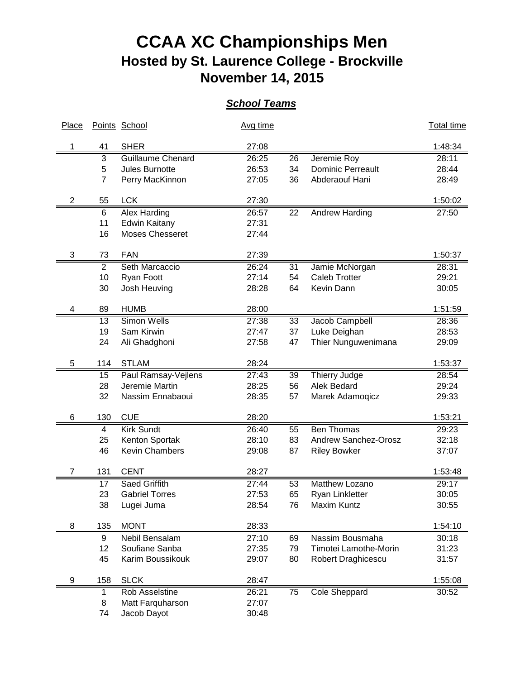## **CCAA XC Championships Men Hosted by St. Laurence College - Brockville November 14, 2015**

## *School Teams*

| Place |                | Points School         | Avg time |    |                             | <b>Total time</b> |
|-------|----------------|-----------------------|----------|----|-----------------------------|-------------------|
|       | 41             | <b>SHER</b>           | 27:08    |    |                             | 1:48:34           |
|       | 3              | Guillaume Chenard     | 26:25    | 26 | Jeremie Roy                 | 28:11             |
|       | 5              | <b>Jules Burnotte</b> | 26:53    | 34 | <b>Dominic Perreault</b>    | 28:44             |
|       | $\overline{7}$ | Perry MacKinnon       | 27:05    | 36 | Abderaouf Hani              | 28:49             |
| 2     | 55             | <b>LCK</b>            | 27:30    |    |                             | 1:50:02           |
|       | 6              | Alex Harding          | 26:57    | 22 | <b>Andrew Harding</b>       | 27:50             |
|       | 11             | <b>Edwin Kaitany</b>  | 27:31    |    |                             |                   |
|       | 16             | Moses Chesseret       | 27:44    |    |                             |                   |
| 3     | 73             | <b>FAN</b>            | 27:39    |    |                             | 1:50:37           |
|       | 2              | Seth Marcaccio        | 26:24    | 31 | Jamie McNorgan              | 28:31             |
|       | 10             | Ryan Foott            | 27:14    | 54 | <b>Caleb Trotter</b>        | 29:21             |
|       | 30             | Josh Heuving          | 28:28    | 64 | Kevin Dann                  | 30:05             |
| 4     | 89             | <b>HUMB</b>           | 28:00    |    |                             | 1:51:59           |
|       | 13             | Simon Wells           | 27:38    | 33 | Jacob Campbell              | 28:36             |
|       | 19             | Sam Kirwin            | 27:47    | 37 | Luke Deighan                | 28:53             |
|       | 24             | Ali Ghadghoni         | 27:58    | 47 | Thier Nunguwenimana         | 29:09             |
| 5     | 114            | <b>STLAM</b>          | 28:24    |    |                             | 1:53:37           |
|       | 15             | Paul Ramsay-Vejlens   | 27:43    | 39 | Thierry Judge               | 28:54             |
|       | 28             | Jeremie Martin        | 28:25    | 56 | Alek Bedard                 | 29:24             |
|       | 32             | Nassim Ennabaoui      | 28:35    | 57 | Marek Adamoqicz             | 29:33             |
| 6     | 130            | <b>CUE</b>            | 28:20    |    |                             | 1:53:21           |
|       | 4              | <b>Kirk Sundt</b>     | 26:40    | 55 | <b>Ben Thomas</b>           | 29:23             |
|       | 25             | Kenton Sportak        | 28:10    | 83 | <b>Andrew Sanchez-Orosz</b> | 32:18             |
|       | 46             | Kevin Chambers        | 29:08    | 87 | <b>Riley Bowker</b>         | 37:07             |
|       |                |                       |          |    |                             |                   |
| 7     | 131            | <b>CENT</b>           | 28:27    |    |                             | 1:53:48           |
|       | 17             | Saed Griffith         | 27:44    | 53 | Matthew Lozano              | 29:17             |
|       | 23             | <b>Gabriel Torres</b> | 27:53    | 65 | Ryan Linkletter             | 30:05             |
|       | 38             | Lugei Juma            | 28:54    | 76 | Maxim Kuntz                 | 30:55             |
| 8     | 135            | <b>MONT</b>           | 28:33    |    |                             | 1:54:10           |
|       | 9              | Nebil Bensalam        | 27:10    | 69 | Nassim Bousmaha             | 30:18             |
|       | 12             | Soufiane Sanba        | 27:35    | 79 | Timotei Lamothe-Morin       | 31:23             |
|       | 45             | Karim Boussikouk      | 29:07    | 80 | Robert Draghicescu          | 31:57             |
| 9     | 158            | <b>SLCK</b>           | 28:47    |    |                             | 1:55:08           |
|       | 1              | Rob Asselstine        | 26:21    | 75 | Cole Sheppard               | 30:52             |
|       | 8              | Matt Farquharson      | 27:07    |    |                             |                   |
|       | 74             | Jacob Dayot           | 30:48    |    |                             |                   |